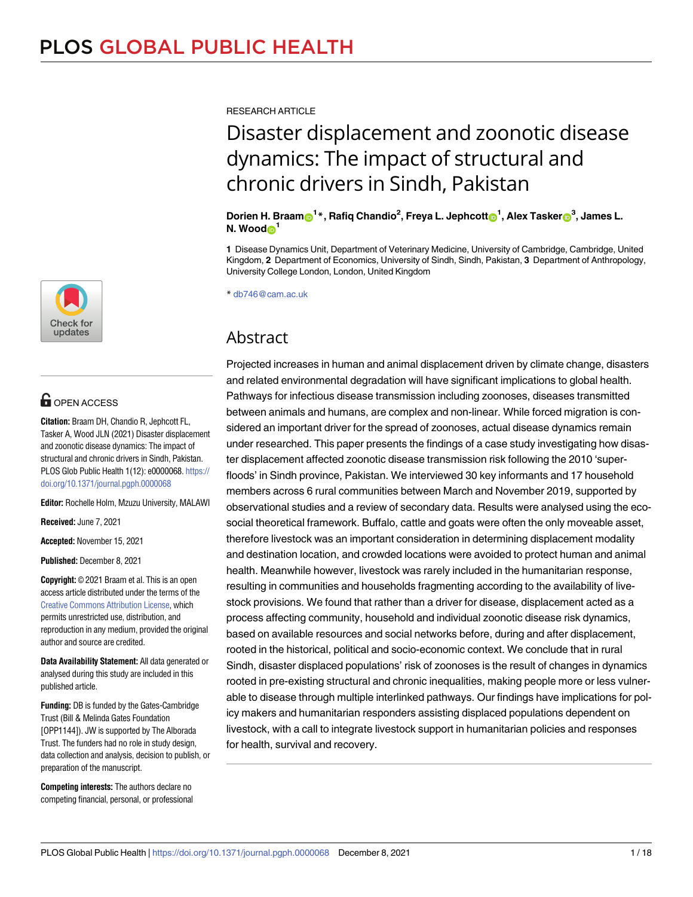

# **OPEN ACCESS**

**Citation:** Braam DH, Chandio R, Jephcott FL, Tasker A, Wood JLN (2021) Disaster displacement and zoonotic disease dynamics: The impact of structural and chronic drivers in Sindh, Pakistan. PLOS Glob Public Health 1(12): e0000068. [https://](https://doi.org/10.1371/journal.pgph.0000068) [doi.org/10.1371/journal.pgph.0000068](https://doi.org/10.1371/journal.pgph.0000068)

**Editor:** Rochelle Holm, Mzuzu University, MALAWI

**Received:** June 7, 2021

**Accepted:** November 15, 2021

**Published:** December 8, 2021

**Copyright:** © 2021 Braam et al. This is an open access article distributed under the terms of the Creative Commons [Attribution](http://creativecommons.org/licenses/by/4.0/) License, which permits unrestricted use, distribution, and reproduction in any medium, provided the original author and source are credited.

**Data Availability Statement:** All data generated or analysed during this study are included in this published article.

**Funding:** DB is funded by the Gates-Cambridge Trust (Bill & Melinda Gates Foundation [OPP1144]). JW is supported by The Alborada Trust. The funders had no role in study design, data collection and analysis, decision to publish, or preparation of the manuscript.

**Competing interests:** The authors declare no competing financial, personal, or professional RESEARCH ARTICLE

# Disaster displacement and zoonotic disease dynamics: The impact of structural and chronic drivers in Sindh, Pakistan

Dorien H. Braam $\mathrm{\odot}^{1}$ \*, Rafiq Chandio<sup>2</sup>, Freya L. Jephcott $\mathrm{\odot}^{1}$ , Alex Tasker $\mathrm{\odot}^{3}$ , James L. **N. Wood**<sup>1</sup>

**1** Disease Dynamics Unit, Department of Veterinary Medicine, University of Cambridge, Cambridge, United Kingdom, **2** Department of Economics, University of Sindh, Sindh, Pakistan, **3** Department of Anthropology, University College London, London, United Kingdom

\* db746@cam.ac.uk

# Abstract

Projected increases in human and animal displacement driven by climate change, disasters and related environmental degradation will have significant implications to global health. Pathways for infectious disease transmission including zoonoses, diseases transmitted between animals and humans, are complex and non-linear. While forced migration is considered an important driver for the spread of zoonoses, actual disease dynamics remain under researched. This paper presents the findings of a case study investigating how disaster displacement affected zoonotic disease transmission risk following the 2010 'superfloods' in Sindh province, Pakistan. We interviewed 30 key informants and 17 household members across 6 rural communities between March and November 2019, supported by observational studies and a review of secondary data. Results were analysed using the ecosocial theoretical framework. Buffalo, cattle and goats were often the only moveable asset, therefore livestock was an important consideration in determining displacement modality and destination location, and crowded locations were avoided to protect human and animal health. Meanwhile however, livestock was rarely included in the humanitarian response, resulting in communities and households fragmenting according to the availability of livestock provisions. We found that rather than a driver for disease, displacement acted as a process affecting community, household and individual zoonotic disease risk dynamics, based on available resources and social networks before, during and after displacement, rooted in the historical, political and socio-economic context. We conclude that in rural Sindh, disaster displaced populations' risk of zoonoses is the result of changes in dynamics rooted in pre-existing structural and chronic inequalities, making people more or less vulnerable to disease through multiple interlinked pathways. Our findings have implications for policy makers and humanitarian responders assisting displaced populations dependent on livestock, with a call to integrate livestock support in humanitarian policies and responses for health, survival and recovery.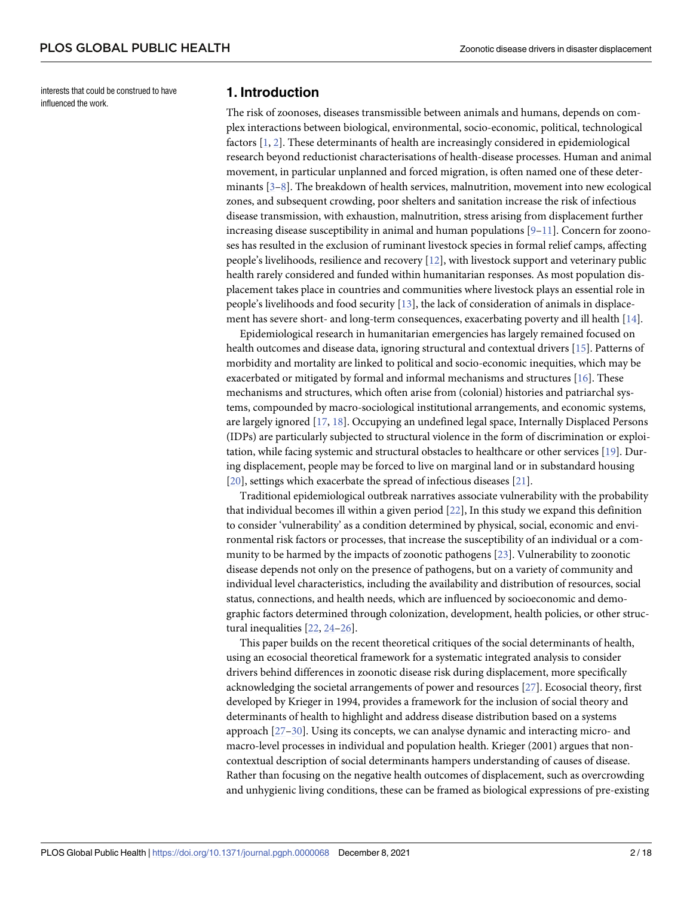<span id="page-1-0"></span>interests that could be construed to have influenced the work.

#### **1. Introduction**

The risk of zoonoses, diseases transmissible between animals and humans, depends on complex interactions between biological, environmental, socio-economic, political, technological factors [\[1](#page-15-0), [2](#page-15-0)]. These determinants of health are increasingly considered in epidemiological research beyond reductionist characterisations of health-disease processes. Human and animal movement, in particular unplanned and forced migration, is often named one of these determinants [\[3–8](#page-15-0)]. The breakdown of health services, malnutrition, movement into new ecological zones, and subsequent crowding, poor shelters and sanitation increase the risk of infectious disease transmission, with exhaustion, malnutrition, stress arising from displacement further increasing disease susceptibility in animal and human populations [[9–11](#page-15-0)]. Concern for zoonoses has resulted in the exclusion of ruminant livestock species in formal relief camps, affecting people's livelihoods, resilience and recovery [\[12\]](#page-15-0), with livestock support and veterinary public health rarely considered and funded within humanitarian responses. As most population displacement takes place in countries and communities where livestock plays an essential role in people's livelihoods and food security [[13](#page-15-0)], the lack of consideration of animals in displacement has severe short- and long-term consequences, exacerbating poverty and ill health [\[14\]](#page-15-0).

Epidemiological research in humanitarian emergencies has largely remained focused on health outcomes and disease data, ignoring structural and contextual drivers [[15](#page-15-0)]. Patterns of morbidity and mortality are linked to political and socio-economic inequities, which may be exacerbated or mitigated by formal and informal mechanisms and structures [\[16\]](#page-15-0). These mechanisms and structures, which often arise from (colonial) histories and patriarchal systems, compounded by macro-sociological institutional arrangements, and economic systems, are largely ignored [[17](#page-15-0), [18](#page-15-0)]. Occupying an undefined legal space, Internally Displaced Persons (IDPs) are particularly subjected to structural violence in the form of discrimination or exploitation, while facing systemic and structural obstacles to healthcare or other services [[19](#page-15-0)]. During displacement, people may be forced to live on marginal land or in substandard housing [\[20\]](#page-15-0), settings which exacerbate the spread of infectious diseases [[21](#page-15-0)].

Traditional epidemiological outbreak narratives associate vulnerability with the probability that individual becomes ill within a given period [[22](#page-16-0)], In this study we expand this definition to consider 'vulnerability' as a condition determined by physical, social, economic and environmental risk factors or processes, that increase the susceptibility of an individual or a community to be harmed by the impacts of zoonotic pathogens [[23](#page-16-0)]. Vulnerability to zoonotic disease depends not only on the presence of pathogens, but on a variety of community and individual level characteristics, including the availability and distribution of resources, social status, connections, and health needs, which are influenced by socioeconomic and demographic factors determined through colonization, development, health policies, or other structural inequalities [\[22,](#page-16-0) [24–26](#page-16-0)].

This paper builds on the recent theoretical critiques of the social determinants of health, using an ecosocial theoretical framework for a systematic integrated analysis to consider drivers behind differences in zoonotic disease risk during displacement, more specifically acknowledging the societal arrangements of power and resources [\[27\]](#page-16-0). Ecosocial theory, first developed by Krieger in 1994, provides a framework for the inclusion of social theory and determinants of health to highlight and address disease distribution based on a systems approach [[27](#page-16-0)–[30](#page-16-0)]. Using its concepts, we can analyse dynamic and interacting micro- and macro-level processes in individual and population health. Krieger (2001) argues that noncontextual description of social determinants hampers understanding of causes of disease. Rather than focusing on the negative health outcomes of displacement, such as overcrowding and unhygienic living conditions, these can be framed as biological expressions of pre-existing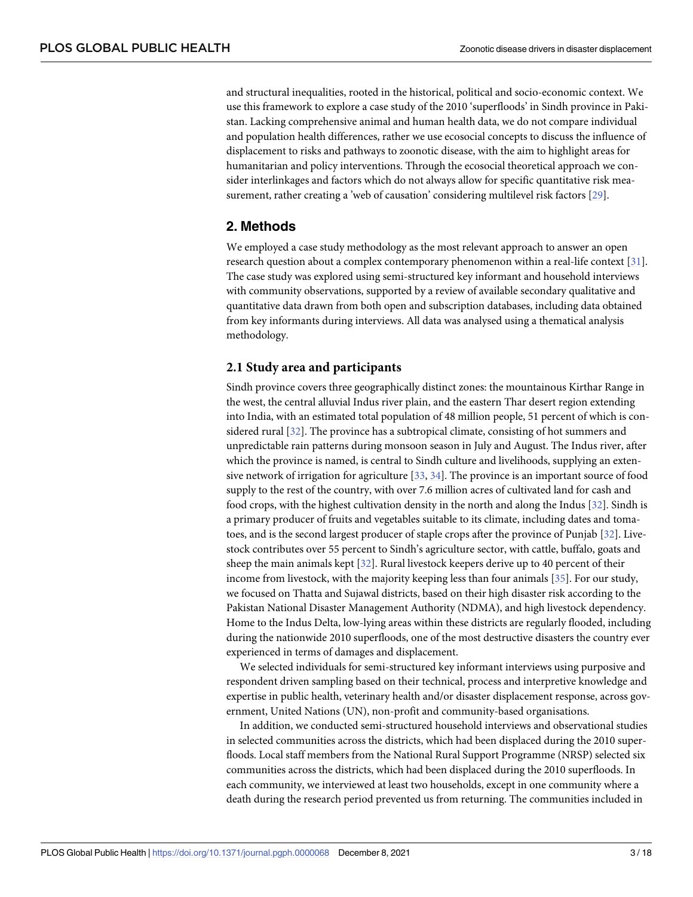<span id="page-2-0"></span>and structural inequalities, rooted in the historical, political and socio-economic context. We use this framework to explore a case study of the 2010 'superfloods' in Sindh province in Pakistan. Lacking comprehensive animal and human health data, we do not compare individual and population health differences, rather we use ecosocial concepts to discuss the influence of displacement to risks and pathways to zoonotic disease, with the aim to highlight areas for humanitarian and policy interventions. Through the ecosocial theoretical approach we consider interlinkages and factors which do not always allow for specific quantitative risk measurement, rather creating a 'web of causation' considering multilevel risk factors [\[29\]](#page-16-0).

# **2. Methods**

We employed a case study methodology as the most relevant approach to answer an open research question about a complex contemporary phenomenon within a real-life context [\[31\]](#page-16-0). The case study was explored using semi-structured key informant and household interviews with community observations, supported by a review of available secondary qualitative and quantitative data drawn from both open and subscription databases, including data obtained from key informants during interviews. All data was analysed using a thematical analysis methodology.

## **2.1 Study area and participants**

Sindh province covers three geographically distinct zones: the mountainous Kirthar Range in the west, the central alluvial Indus river plain, and the eastern Thar desert region extending into India, with an estimated total population of 48 million people, 51 percent of which is considered rural [\[32\]](#page-16-0). The province has a subtropical climate, consisting of hot summers and unpredictable rain patterns during monsoon season in July and August. The Indus river, after which the province is named, is central to Sindh culture and livelihoods, supplying an extensive network of irrigation for agriculture [\[33,](#page-16-0) [34\]](#page-16-0). The province is an important source of food supply to the rest of the country, with over 7.6 million acres of cultivated land for cash and food crops, with the highest cultivation density in the north and along the Indus [[32](#page-16-0)]. Sindh is a primary producer of fruits and vegetables suitable to its climate, including dates and tomatoes, and is the second largest producer of staple crops after the province of Punjab [[32](#page-16-0)]. Livestock contributes over 55 percent to Sindh's agriculture sector, with cattle, buffalo, goats and sheep the main animals kept [[32](#page-16-0)]. Rural livestock keepers derive up to 40 percent of their income from livestock, with the majority keeping less than four animals [\[35\]](#page-16-0). For our study, we focused on Thatta and Sujawal districts, based on their high disaster risk according to the Pakistan National Disaster Management Authority (NDMA), and high livestock dependency. Home to the Indus Delta, low-lying areas within these districts are regularly flooded, including during the nationwide 2010 superfloods, one of the most destructive disasters the country ever experienced in terms of damages and displacement.

We selected individuals for semi-structured key informant interviews using purposive and respondent driven sampling based on their technical, process and interpretive knowledge and expertise in public health, veterinary health and/or disaster displacement response, across government, United Nations (UN), non-profit and community-based organisations.

In addition, we conducted semi-structured household interviews and observational studies in selected communities across the districts, which had been displaced during the 2010 superfloods. Local staff members from the National Rural Support Programme (NRSP) selected six communities across the districts, which had been displaced during the 2010 superfloods. In each community, we interviewed at least two households, except in one community where a death during the research period prevented us from returning. The communities included in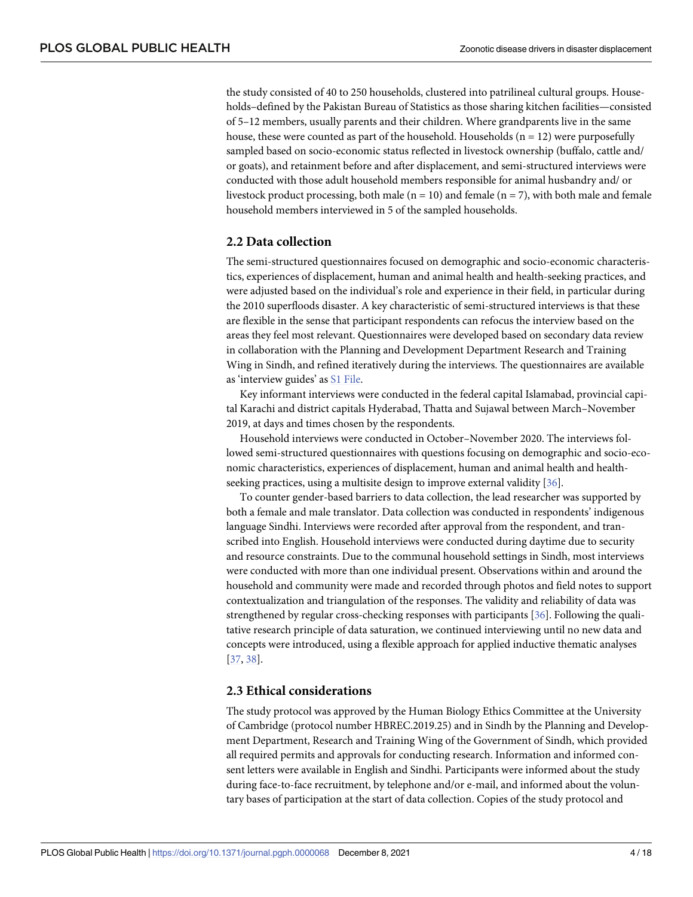<span id="page-3-0"></span>the study consisted of 40 to 250 households, clustered into patrilineal cultural groups. Households–defined by the Pakistan Bureau of Statistics as those sharing kitchen facilities—consisted of 5–12 members, usually parents and their children. Where grandparents live in the same house, these were counted as part of the household. Households  $(n = 12)$  were purposefully sampled based on socio-economic status reflected in livestock ownership (buffalo, cattle and/ or goats), and retainment before and after displacement, and semi-structured interviews were conducted with those adult household members responsible for animal husbandry and/ or livestock product processing, both male  $(n = 10)$  and female  $(n = 7)$ , with both male and female household members interviewed in 5 of the sampled households.

#### **2.2 Data collection**

The semi-structured questionnaires focused on demographic and socio-economic characteristics, experiences of displacement, human and animal health and health-seeking practices, and were adjusted based on the individual's role and experience in their field, in particular during the 2010 superfloods disaster. A key characteristic of semi-structured interviews is that these are flexible in the sense that participant respondents can refocus the interview based on the areas they feel most relevant. Questionnaires were developed based on secondary data review in collaboration with the Planning and Development Department Research and Training Wing in Sindh, and refined iteratively during the interviews. The questionnaires are available as 'interview guides' as S1 [File.](#page-14-0)

Key informant interviews were conducted in the federal capital Islamabad, provincial capital Karachi and district capitals Hyderabad, Thatta and Sujawal between March–November 2019, at days and times chosen by the respondents.

Household interviews were conducted in October–November 2020. The interviews followed semi-structured questionnaires with questions focusing on demographic and socio-economic characteristics, experiences of displacement, human and animal health and healthseeking practices, using a multisite design to improve external validity [\[36\]](#page-16-0).

To counter gender-based barriers to data collection, the lead researcher was supported by both a female and male translator. Data collection was conducted in respondents' indigenous language Sindhi. Interviews were recorded after approval from the respondent, and transcribed into English. Household interviews were conducted during daytime due to security and resource constraints. Due to the communal household settings in Sindh, most interviews were conducted with more than one individual present. Observations within and around the household and community were made and recorded through photos and field notes to support contextualization and triangulation of the responses. The validity and reliability of data was strengthened by regular cross-checking responses with participants [\[36\]](#page-16-0). Following the qualitative research principle of data saturation, we continued interviewing until no new data and concepts were introduced, using a flexible approach for applied inductive thematic analyses [\[37,](#page-16-0) [38\]](#page-16-0).

#### **2.3 Ethical considerations**

The study protocol was approved by the Human Biology Ethics Committee at the University of Cambridge (protocol number HBREC.2019.25) and in Sindh by the Planning and Development Department, Research and Training Wing of the Government of Sindh, which provided all required permits and approvals for conducting research. Information and informed consent letters were available in English and Sindhi. Participants were informed about the study during face-to-face recruitment, by telephone and/or e-mail, and informed about the voluntary bases of participation at the start of data collection. Copies of the study protocol and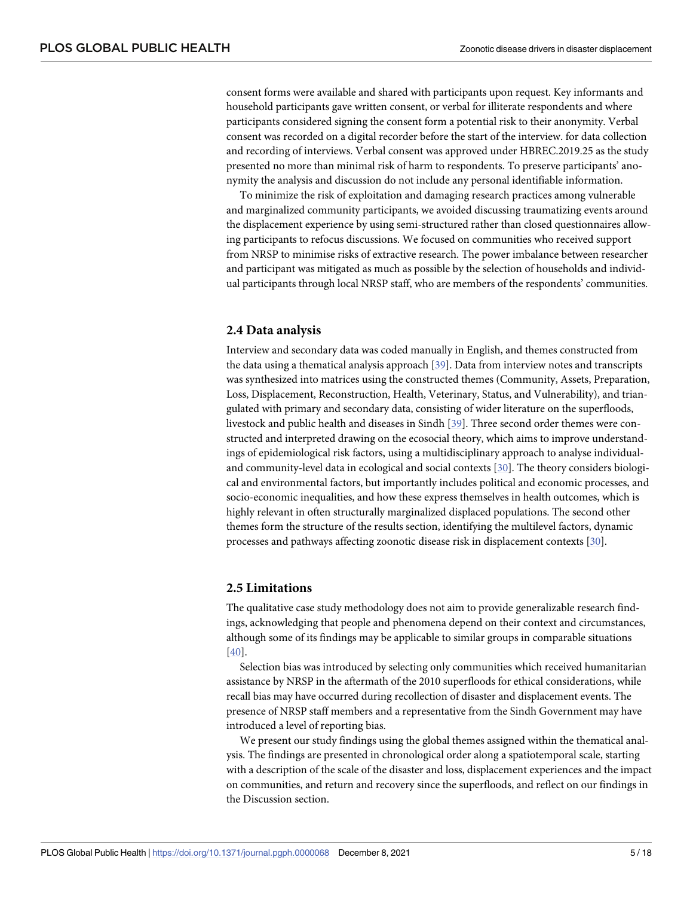<span id="page-4-0"></span>consent forms were available and shared with participants upon request. Key informants and household participants gave written consent, or verbal for illiterate respondents and where participants considered signing the consent form a potential risk to their anonymity. Verbal consent was recorded on a digital recorder before the start of the interview. for data collection and recording of interviews. Verbal consent was approved under HBREC.2019.25 as the study presented no more than minimal risk of harm to respondents. To preserve participants' anonymity the analysis and discussion do not include any personal identifiable information.

To minimize the risk of exploitation and damaging research practices among vulnerable and marginalized community participants, we avoided discussing traumatizing events around the displacement experience by using semi-structured rather than closed questionnaires allowing participants to refocus discussions. We focused on communities who received support from NRSP to minimise risks of extractive research. The power imbalance between researcher and participant was mitigated as much as possible by the selection of households and individual participants through local NRSP staff, who are members of the respondents' communities.

#### **2.4 Data analysis**

Interview and secondary data was coded manually in English, and themes constructed from the data using a thematical analysis approach [\[39\]](#page-16-0). Data from interview notes and transcripts was synthesized into matrices using the constructed themes (Community, Assets, Preparation, Loss, Displacement, Reconstruction, Health, Veterinary, Status, and Vulnerability), and triangulated with primary and secondary data, consisting of wider literature on the superfloods, livestock and public health and diseases in Sindh [[39](#page-16-0)]. Three second order themes were constructed and interpreted drawing on the ecosocial theory, which aims to improve understandings of epidemiological risk factors, using a multidisciplinary approach to analyse individualand community-level data in ecological and social contexts [\[30\]](#page-16-0). The theory considers biological and environmental factors, but importantly includes political and economic processes, and socio-economic inequalities, and how these express themselves in health outcomes, which is highly relevant in often structurally marginalized displaced populations. The second other themes form the structure of the results section, identifying the multilevel factors, dynamic processes and pathways affecting zoonotic disease risk in displacement contexts [\[30\]](#page-16-0).

#### **2.5 Limitations**

The qualitative case study methodology does not aim to provide generalizable research findings, acknowledging that people and phenomena depend on their context and circumstances, although some of its findings may be applicable to similar groups in comparable situations [\[40\]](#page-16-0).

Selection bias was introduced by selecting only communities which received humanitarian assistance by NRSP in the aftermath of the 2010 superfloods for ethical considerations, while recall bias may have occurred during recollection of disaster and displacement events. The presence of NRSP staff members and a representative from the Sindh Government may have introduced a level of reporting bias.

We present our study findings using the global themes assigned within the thematical analysis. The findings are presented in chronological order along a spatiotemporal scale, starting with a description of the scale of the disaster and loss, displacement experiences and the impact on communities, and return and recovery since the superfloods, and reflect on our findings in the Discussion section.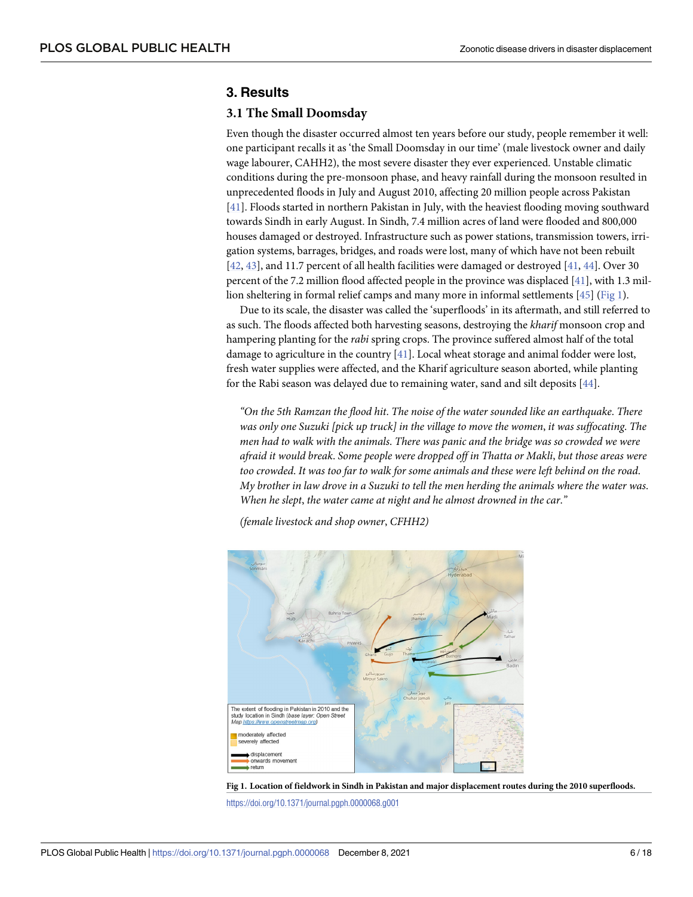## <span id="page-5-0"></span>**3. Results**

#### **3.1 The Small Doomsday**

Even though the disaster occurred almost ten years before our study, people remember it well: one participant recalls it as 'the Small Doomsday in our time' (male livestock owner and daily wage labourer, CAHH2), the most severe disaster they ever experienced. Unstable climatic conditions during the pre-monsoon phase, and heavy rainfall during the monsoon resulted in unprecedented floods in July and August 2010, affecting 20 million people across Pakistan [\[41\]](#page-16-0). Floods started in northern Pakistan in July, with the heaviest flooding moving southward towards Sindh in early August. In Sindh, 7.4 million acres of land were flooded and 800,000 houses damaged or destroyed. Infrastructure such as power stations, transmission towers, irrigation systems, barrages, bridges, and roads were lost, many of which have not been rebuilt [\[42,](#page-16-0) [43\]](#page-16-0), and 11.7 percent of all health facilities were damaged or destroyed [[41](#page-16-0), [44](#page-16-0)]. Over 30 percent of the 7.2 million flood affected people in the province was displaced [\[41\]](#page-16-0), with 1.3 million sheltering in formal relief camps and many more in informal settlements [\[45\]](#page-16-0) (Fig 1).

Due to its scale, the disaster was called the 'superfloods' in its aftermath, and still referred to as such. The floods affected both harvesting seasons, destroying the *kharif* monsoon crop and hampering planting for the *rabi* spring crops. The province suffered almost half of the total damage to agriculture in the country [\[41\]](#page-16-0). Local wheat storage and animal fodder were lost, fresh water supplies were affected, and the Kharif agriculture season aborted, while planting for the Rabi season was delayed due to remaining water, sand and silt deposits [\[44\]](#page-16-0).

*"On the 5th Ramzan the flood hit*. *The noise of the water sounded like an earthquake*. *There was only one Suzuki [pick up truck] in the village to move the women*, *it was suffocating*. *The men had to walk with the animals*. *There was panic and the bridge was so crowded we were afraid it would break*. *Some people were dropped off in Thatta or Makli*, *but those areas were* too crowded. It was too far to walk for some animals and these were left behind on the road. My brother in law drove in a Suzuki to tell the men herding the animals where the water was. *When he slept*, *the water came at night and he almost drowned in the car*.*"*

*(female livestock and shop owner*, *CFHH2)*



Fig 1. Location of fieldwork in Sindh in Pakistan and major displacement routes during the 2010 superfloods.

<https://doi.org/10.1371/journal.pgph.0000068.g001>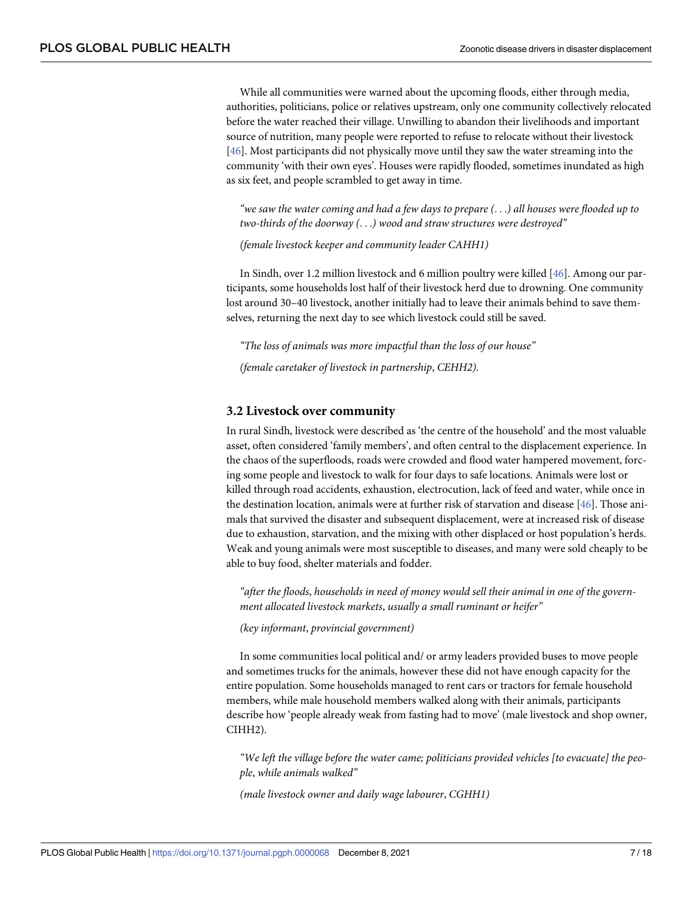<span id="page-6-0"></span>While all communities were warned about the upcoming floods, either through media, authorities, politicians, police or relatives upstream, only one community collectively relocated before the water reached their village. Unwilling to abandon their livelihoods and important source of nutrition, many people were reported to refuse to relocate without their livestock [\[46\]](#page-16-0). Most participants did not physically move until they saw the water streaming into the community 'with their own eyes'. Houses were rapidly flooded, sometimes inundated as high as six feet, and people scrambled to get away in time.

"we saw the water coming and had a few days to prepare  $(\ldots)$  all houses were flooded up to *two-thirds of the doorway (*. . .*) wood and straw structures were destroyed"*

*(female livestock keeper and community leader CAHH1)*

In Sindh, over 1.2 million livestock and 6 million poultry were killed [[46](#page-16-0)]. Among our participants, some households lost half of their livestock herd due to drowning. One community lost around 30–40 livestock, another initially had to leave their animals behind to save themselves, returning the next day to see which livestock could still be saved.

*"The loss of animals was more impactful than the loss of our house"*

*(female caretaker of livestock in partnership*, *CEHH2)*.

#### **3.2 Livestock over community**

In rural Sindh, livestock were described as 'the centre of the household' and the most valuable asset, often considered 'family members', and often central to the displacement experience. In the chaos of the superfloods, roads were crowded and flood water hampered movement, forcing some people and livestock to walk for four days to safe locations. Animals were lost or killed through road accidents, exhaustion, electrocution, lack of feed and water, while once in the destination location, animals were at further risk of starvation and disease [[46](#page-16-0)]. Those animals that survived the disaster and subsequent displacement, were at increased risk of disease due to exhaustion, starvation, and the mixing with other displaced or host population's herds. Weak and young animals were most susceptible to diseases, and many were sold cheaply to be able to buy food, shelter materials and fodder.

*"after the floods*, *households in need of money would sell their animal in one of the government allocated livestock markets*, *usually a small ruminant or heifer"*

*(key informant*, *provincial government)*

In some communities local political and/ or army leaders provided buses to move people and sometimes trucks for the animals, however these did not have enough capacity for the entire population. Some households managed to rent cars or tractors for female household members, while male household members walked along with their animals, participants describe how 'people already weak from fasting had to move' (male livestock and shop owner, CIHH2).

*"We left the village before the water came; politicians provided vehicles [to evacuate] the people*, *while animals walked"*

*(male livestock owner and daily wage labourer*, *CGHH1)*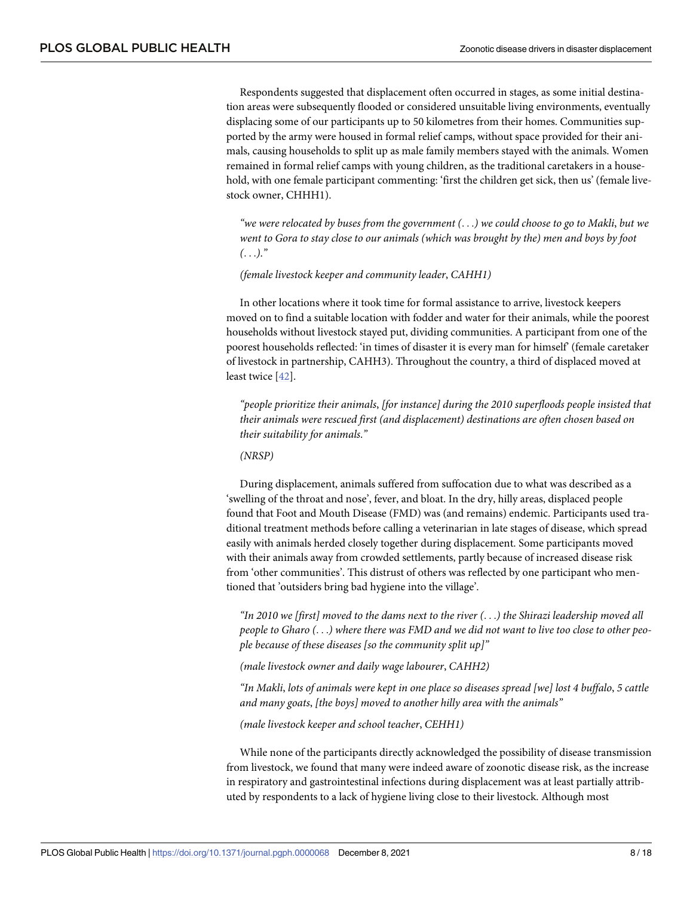Respondents suggested that displacement often occurred in stages, as some initial destination areas were subsequently flooded or considered unsuitable living environments, eventually displacing some of our participants up to 50 kilometres from their homes. Communities supported by the army were housed in formal relief camps, without space provided for their animals, causing households to split up as male family members stayed with the animals. Women remained in formal relief camps with young children, as the traditional caretakers in a household, with one female participant commenting: 'first the children get sick, then us' (female livestock owner, CHHH1).

"we were relocated by buses from the government  $(...)$  we could choose to go to Makli, but we *went to Gora to stay close to our animals (which was brought by the) men and boys by foot (*. . .*)*.*"*

*(female livestock keeper and community leader*, *CAHH1)*

In other locations where it took time for formal assistance to arrive, livestock keepers moved on to find a suitable location with fodder and water for their animals, while the poorest households without livestock stayed put, dividing communities. A participant from one of the poorest households reflected: 'in times of disaster it is every man for himself' (female caretaker of livestock in partnership, CAHH3). Throughout the country, a third of displaced moved at least twice [\[42\]](#page-16-0).

*"people prioritize their animals*, *[for instance] during the 2010 superfloods people insisted that their animals were rescued first (and displacement) destinations are often chosen based on their suitability for animals*.*"*

*(NRSP)*

During displacement, animals suffered from suffocation due to what was described as a 'swelling of the throat and nose', fever, and bloat. In the dry, hilly areas, displaced people found that Foot and Mouth Disease (FMD) was (and remains) endemic. Participants used traditional treatment methods before calling a veterinarian in late stages of disease, which spread easily with animals herded closely together during displacement. Some participants moved with their animals away from crowded settlements, partly because of increased disease risk from 'other communities'. This distrust of others was reflected by one participant who mentioned that 'outsiders bring bad hygiene into the village'.

"In 2010 we [first] moved to the dams next to the river  $(\ldots)$  the Shirazi leadership moved all people to Gharo  $(\ldots)$  where there was FMD and we did not want to live too close to other peo*ple because of these diseases [so the community split up]"*

*(male livestock owner and daily wage labourer*, *CAHH2)*

"In Makli, lots of animals were kept in one place so diseases spread [we] lost 4 buffalo, 5 cattle *and many goats*, *[the boys] moved to another hilly area with the animals"*

*(male livestock keeper and school teacher*, *CEHH1)*

While none of the participants directly acknowledged the possibility of disease transmission from livestock, we found that many were indeed aware of zoonotic disease risk, as the increase in respiratory and gastrointestinal infections during displacement was at least partially attributed by respondents to a lack of hygiene living close to their livestock. Although most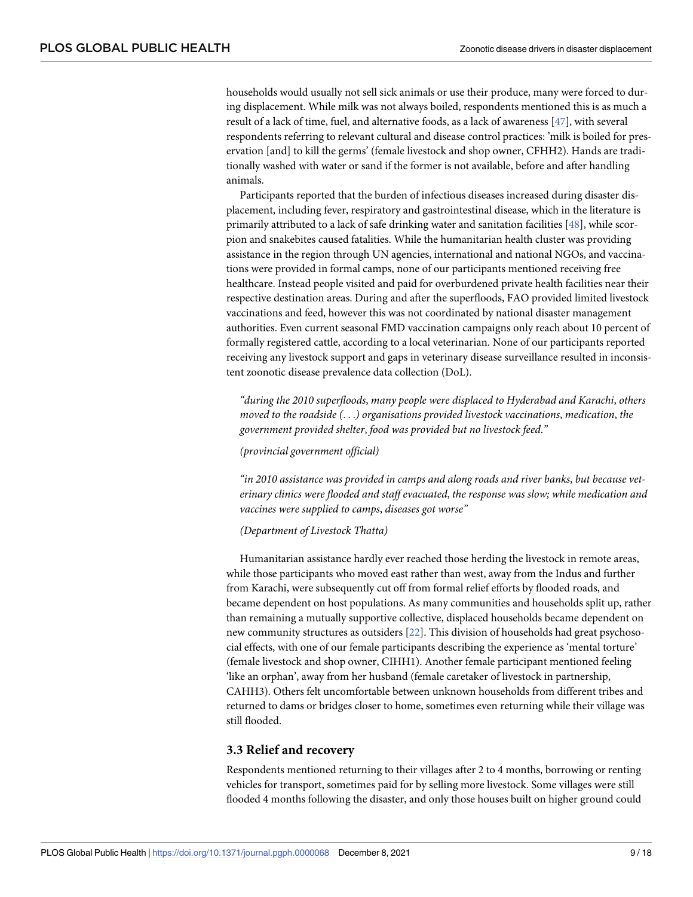<span id="page-8-0"></span>households would usually not sell sick animals or use their produce, many were forced to during displacement. While milk was not always boiled, respondents mentioned this is as much a result of a lack of time, fuel, and alternative foods, as a lack of awareness [\[47\]](#page-17-0), with several respondents referring to relevant cultural and disease control practices: 'milk is boiled for preservation [and] to kill the germs' (female livestock and shop owner, CFHH2). Hands are traditionally washed with water or sand if the former is not available, before and after handling animals.

Participants reported that the burden of infectious diseases increased during disaster displacement, including fever, respiratory and gastrointestinal disease, which in the literature is primarily attributed to a lack of safe drinking water and sanitation facilities [[48](#page-17-0)], while scorpion and snakebites caused fatalities. While the humanitarian health cluster was providing assistance in the region through UN agencies, international and national NGOs, and vaccinations were provided in formal camps, none of our participants mentioned receiving free healthcare. Instead people visited and paid for overburdened private health facilities near their respective destination areas. During and after the superfloods, FAO provided limited livestock vaccinations and feed, however this was not coordinated by national disaster management authorities. Even current seasonal FMD vaccination campaigns only reach about 10 percent of formally registered cattle, according to a local veterinarian. None of our participants reported receiving any livestock support and gaps in veterinary disease surveillance resulted in inconsistent zoonotic disease prevalence data collection (DoL).

*"during the 2010 superfloods*, *many people were displaced to Hyderabad and Karachi*, *others moved to the roadside (*. . .*) organisations provided livestock vaccinations*, *medication*, *the government provided shelter*, *food was provided but no livestock feed*.*"*

*(provincial government official)*

*"in 2010 assistance was provided in camps and along roads and river banks*, *but because veterinary clinics were flooded and staff evacuated*, *the response was slow; while medication and vaccines were supplied to camps*, *diseases got worse"*

#### *(Department of Livestock Thatta)*

Humanitarian assistance hardly ever reached those herding the livestock in remote areas, while those participants who moved east rather than west, away from the Indus and further from Karachi, were subsequently cut off from formal relief efforts by flooded roads, and became dependent on host populations. As many communities and households split up, rather than remaining a mutually supportive collective, displaced households became dependent on new community structures as outsiders [[22](#page-16-0)]. This division of households had great psychosocial effects, with one of our female participants describing the experience as 'mental torture' (female livestock and shop owner, CIHH1). Another female participant mentioned feeling 'like an orphan', away from her husband (female caretaker of livestock in partnership, CAHH3). Others felt uncomfortable between unknown households from different tribes and returned to dams or bridges closer to home, sometimes even returning while their village was still flooded.

#### **3.3 Relief and recovery**

Respondents mentioned returning to their villages after 2 to 4 months, borrowing or renting vehicles for transport, sometimes paid for by selling more livestock. Some villages were still flooded 4 months following the disaster, and only those houses built on higher ground could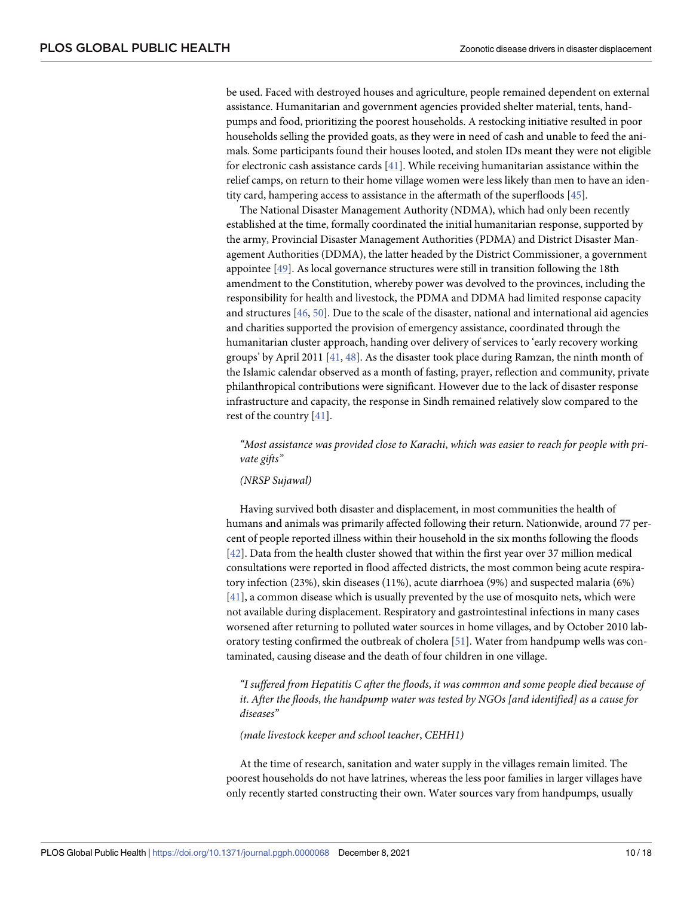<span id="page-9-0"></span>be used. Faced with destroyed houses and agriculture, people remained dependent on external assistance. Humanitarian and government agencies provided shelter material, tents, handpumps and food, prioritizing the poorest households. A restocking initiative resulted in poor households selling the provided goats, as they were in need of cash and unable to feed the animals. Some participants found their houses looted, and stolen IDs meant they were not eligible for electronic cash assistance cards [\[41\]](#page-16-0). While receiving humanitarian assistance within the relief camps, on return to their home village women were less likely than men to have an identity card, hampering access to assistance in the aftermath of the superfloods [\[45\]](#page-16-0).

The National Disaster Management Authority (NDMA), which had only been recently established at the time, formally coordinated the initial humanitarian response, supported by the army, Provincial Disaster Management Authorities (PDMA) and District Disaster Management Authorities (DDMA), the latter headed by the District Commissioner, a government appointee [[49](#page-17-0)]. As local governance structures were still in transition following the 18th amendment to the Constitution, whereby power was devolved to the provinces, including the responsibility for health and livestock, the PDMA and DDMA had limited response capacity and structures [[46](#page-16-0), [50\]](#page-17-0). Due to the scale of the disaster, national and international aid agencies and charities supported the provision of emergency assistance, coordinated through the humanitarian cluster approach, handing over delivery of services to 'early recovery working groups' by April 2011 [\[41,](#page-16-0) [48\]](#page-17-0). As the disaster took place during Ramzan, the ninth month of the Islamic calendar observed as a month of fasting, prayer, reflection and community, private philanthropical contributions were significant. However due to the lack of disaster response infrastructure and capacity, the response in Sindh remained relatively slow compared to the rest of the country [\[41\]](#page-16-0).

*"Most assistance was provided close to Karachi*, *which was easier to reach for people with private gifts"*

#### *(NRSP Sujawal)*

Having survived both disaster and displacement, in most communities the health of humans and animals was primarily affected following their return. Nationwide, around 77 percent of people reported illness within their household in the six months following the floods [\[42\]](#page-16-0). Data from the health cluster showed that within the first year over 37 million medical consultations were reported in flood affected districts, the most common being acute respiratory infection (23%), skin diseases (11%), acute diarrhoea (9%) and suspected malaria (6%) [\[41\]](#page-16-0), a common disease which is usually prevented by the use of mosquito nets, which were not available during displacement. Respiratory and gastrointestinal infections in many cases worsened after returning to polluted water sources in home villages, and by October 2010 laboratory testing confirmed the outbreak of cholera [\[51\]](#page-17-0). Water from handpump wells was contaminated, causing disease and the death of four children in one village.

*"I suffered from Hepatitis C after the floods*, *it was common and some people died because of it*. *After the floods*, *the handpump water was tested by NGOs [and identified] as a cause for diseases"*

*(male livestock keeper and school teacher*, *CEHH1)*

At the time of research, sanitation and water supply in the villages remain limited. The poorest households do not have latrines, whereas the less poor families in larger villages have only recently started constructing their own. Water sources vary from handpumps, usually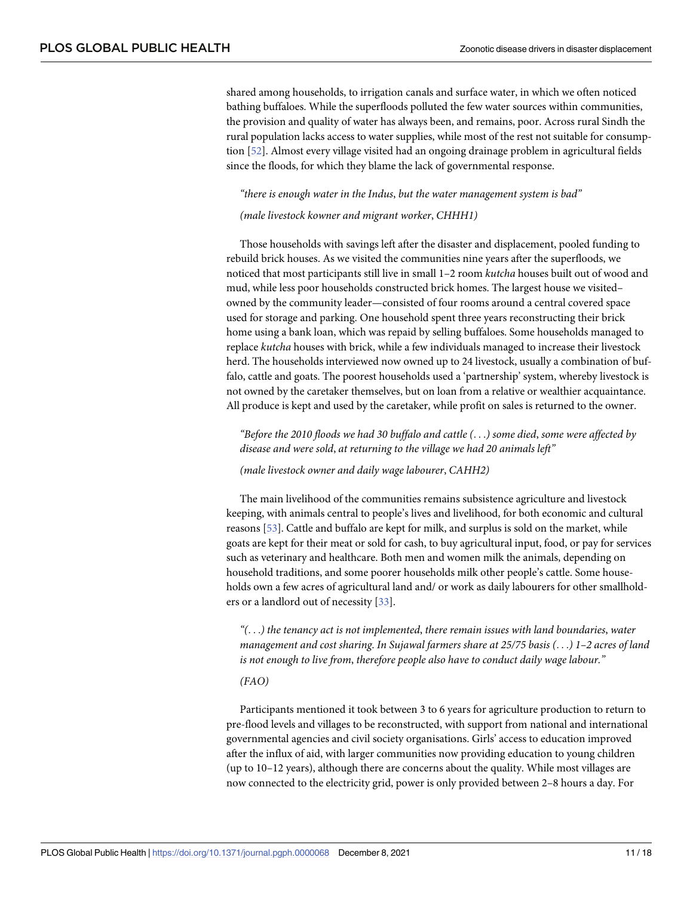<span id="page-10-0"></span>shared among households, to irrigation canals and surface water, in which we often noticed bathing buffaloes. While the superfloods polluted the few water sources within communities, the provision and quality of water has always been, and remains, poor. Across rural Sindh the rural population lacks access to water supplies, while most of the rest not suitable for consumption [[52](#page-17-0)]. Almost every village visited had an ongoing drainage problem in agricultural fields since the floods, for which they blame the lack of governmental response.

#### *"there is enough water in the Indus*, *but the water management system is bad"*

#### *(male livestock kowner and migrant worker*, *CHHH1)*

Those households with savings left after the disaster and displacement, pooled funding to rebuild brick houses. As we visited the communities nine years after the superfloods, we noticed that most participants still live in small 1–2 room *kutcha* houses built out of wood and mud, while less poor households constructed brick homes. The largest house we visited– owned by the community leader—consisted of four rooms around a central covered space used for storage and parking. One household spent three years reconstructing their brick home using a bank loan, which was repaid by selling buffaloes. Some households managed to replace *kutcha* houses with brick, while a few individuals managed to increase their livestock herd. The households interviewed now owned up to 24 livestock, usually a combination of buffalo, cattle and goats. The poorest households used a 'partnership' system, whereby livestock is not owned by the caretaker themselves, but on loan from a relative or wealthier acquaintance. All produce is kept and used by the caretaker, while profit on sales is returned to the owner.

*"Before the 2010 floods we had 30 buffalo and cattle (*. . .*) some died*, *some were affected by disease and were sold*, *at returning to the village we had 20 animals left"*

*(male livestock owner and daily wage labourer*, *CAHH2)*

The main livelihood of the communities remains subsistence agriculture and livestock keeping, with animals central to people's lives and livelihood, for both economic and cultural reasons [[53](#page-17-0)]. Cattle and buffalo are kept for milk, and surplus is sold on the market, while goats are kept for their meat or sold for cash, to buy agricultural input, food, or pay for services such as veterinary and healthcare. Both men and women milk the animals, depending on household traditions, and some poorer households milk other people's cattle. Some households own a few acres of agricultural land and/ or work as daily labourers for other smallholders or a landlord out of necessity [\[33\]](#page-16-0).

*"(*. . .*) the tenancy act is not implemented*, *there remain issues with land boundaries*, *water management and cost sharing*. *In Sujawal farmers share at 25/75 basis (*. . .*) 1–2 acres of land is not enough to live from*, *therefore people also have to conduct daily wage labour."*

#### *(FAO)*

Participants mentioned it took between 3 to 6 years for agriculture production to return to pre-flood levels and villages to be reconstructed, with support from national and international governmental agencies and civil society organisations. Girls' access to education improved after the influx of aid, with larger communities now providing education to young children (up to 10–12 years), although there are concerns about the quality. While most villages are now connected to the electricity grid, power is only provided between 2–8 hours a day. For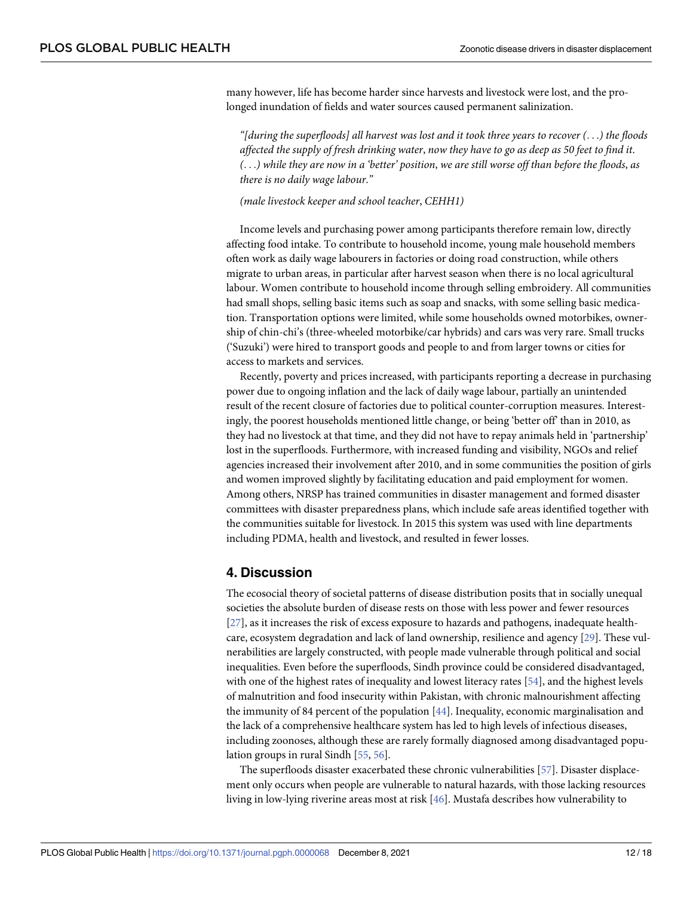<span id="page-11-0"></span>many however, life has become harder since harvests and livestock were lost, and the prolonged inundation of fields and water sources caused permanent salinization.

"[during the superfloods] all harvest was lost and it took three years to recover  $(\ldots)$  the floods affected the supply of fresh drinking water, now they have to go as deep as 50 feet to find it.  $(\ldots)$  while they are now in a 'better' position, we are still worse off than before the floods, as *there is no daily wage labour*.*"*

#### *(male livestock keeper and school teacher*, *CEHH1)*

Income levels and purchasing power among participants therefore remain low, directly affecting food intake. To contribute to household income, young male household members often work as daily wage labourers in factories or doing road construction, while others migrate to urban areas, in particular after harvest season when there is no local agricultural labour. Women contribute to household income through selling embroidery. All communities had small shops, selling basic items such as soap and snacks, with some selling basic medication. Transportation options were limited, while some households owned motorbikes, ownership of chin-chi's (three-wheeled motorbike/car hybrids) and cars was very rare. Small trucks ('Suzuki') were hired to transport goods and people to and from larger towns or cities for access to markets and services.

Recently, poverty and prices increased, with participants reporting a decrease in purchasing power due to ongoing inflation and the lack of daily wage labour, partially an unintended result of the recent closure of factories due to political counter-corruption measures. Interestingly, the poorest households mentioned little change, or being 'better off' than in 2010, as they had no livestock at that time, and they did not have to repay animals held in 'partnership' lost in the superfloods. Furthermore, with increased funding and visibility, NGOs and relief agencies increased their involvement after 2010, and in some communities the position of girls and women improved slightly by facilitating education and paid employment for women. Among others, NRSP has trained communities in disaster management and formed disaster committees with disaster preparedness plans, which include safe areas identified together with the communities suitable for livestock. In 2015 this system was used with line departments including PDMA, health and livestock, and resulted in fewer losses.

# **4. Discussion**

The ecosocial theory of societal patterns of disease distribution posits that in socially unequal societies the absolute burden of disease rests on those with less power and fewer resources [\[27\]](#page-16-0), as it increases the risk of excess exposure to hazards and pathogens, inadequate healthcare, ecosystem degradation and lack of land ownership, resilience and agency [\[29\]](#page-16-0). These vulnerabilities are largely constructed, with people made vulnerable through political and social inequalities. Even before the superfloods, Sindh province could be considered disadvantaged, with one of the highest rates of inequality and lowest literacy rates [\[54\]](#page-17-0), and the highest levels of malnutrition and food insecurity within Pakistan, with chronic malnourishment affecting the immunity of 84 percent of the population [\[44\]](#page-16-0). Inequality, economic marginalisation and the lack of a comprehensive healthcare system has led to high levels of infectious diseases, including zoonoses, although these are rarely formally diagnosed among disadvantaged population groups in rural Sindh [\[55,](#page-17-0) [56\]](#page-17-0).

The superfloods disaster exacerbated these chronic vulnerabilities [\[57\]](#page-17-0). Disaster displacement only occurs when people are vulnerable to natural hazards, with those lacking resources living in low-lying riverine areas most at risk [\[46](#page-16-0)]. Mustafa describes how vulnerability to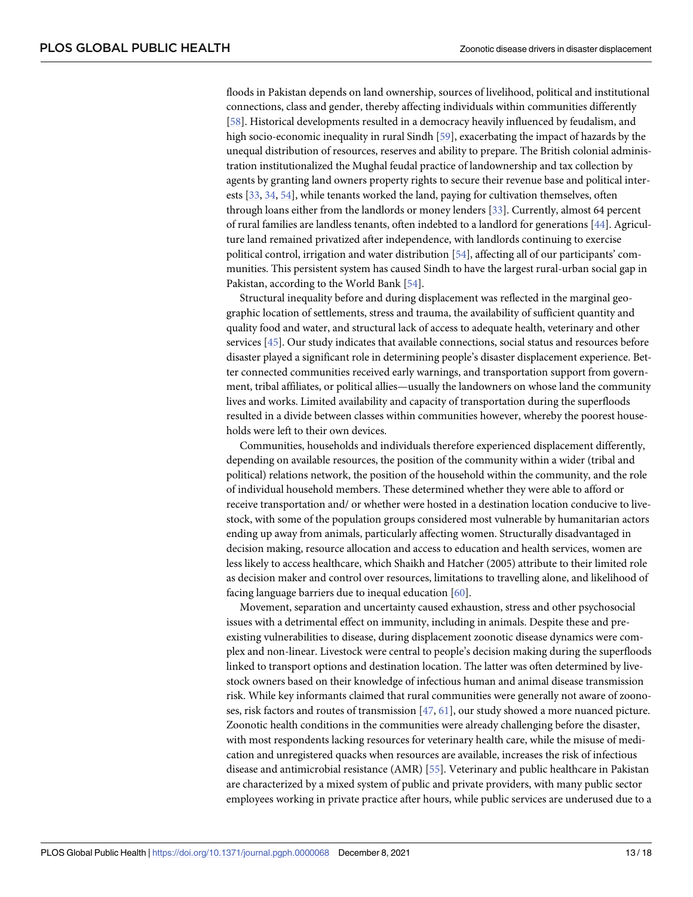<span id="page-12-0"></span>floods in Pakistan depends on land ownership, sources of livelihood, political and institutional connections, class and gender, thereby affecting individuals within communities differently [\[58\]](#page-17-0). Historical developments resulted in a democracy heavily influenced by feudalism, and high socio-economic inequality in rural Sindh [[59](#page-17-0)], exacerbating the impact of hazards by the unequal distribution of resources, reserves and ability to prepare. The British colonial administration institutionalized the Mughal feudal practice of landownership and tax collection by agents by granting land owners property rights to secure their revenue base and political interests [\[33,](#page-16-0) [34](#page-16-0), [54](#page-17-0)], while tenants worked the land, paying for cultivation themselves, often through loans either from the landlords or money lenders [[33](#page-16-0)]. Currently, almost 64 percent of rural families are landless tenants, often indebted to a landlord for generations [\[44\]](#page-16-0). Agriculture land remained privatized after independence, with landlords continuing to exercise political control, irrigation and water distribution [[54](#page-17-0)], affecting all of our participants' communities. This persistent system has caused Sindh to have the largest rural-urban social gap in Pakistan, according to the World Bank [[54](#page-17-0)].

Structural inequality before and during displacement was reflected in the marginal geographic location of settlements, stress and trauma, the availability of sufficient quantity and quality food and water, and structural lack of access to adequate health, veterinary and other services [\[45\]](#page-16-0). Our study indicates that available connections, social status and resources before disaster played a significant role in determining people's disaster displacement experience. Better connected communities received early warnings, and transportation support from government, tribal affiliates, or political allies—usually the landowners on whose land the community lives and works. Limited availability and capacity of transportation during the superfloods resulted in a divide between classes within communities however, whereby the poorest households were left to their own devices.

Communities, households and individuals therefore experienced displacement differently, depending on available resources, the position of the community within a wider (tribal and political) relations network, the position of the household within the community, and the role of individual household members. These determined whether they were able to afford or receive transportation and/ or whether were hosted in a destination location conducive to livestock, with some of the population groups considered most vulnerable by humanitarian actors ending up away from animals, particularly affecting women. Structurally disadvantaged in decision making, resource allocation and access to education and health services, women are less likely to access healthcare, which Shaikh and Hatcher (2005) attribute to their limited role as decision maker and control over resources, limitations to travelling alone, and likelihood of facing language barriers due to inequal education [[60](#page-17-0)].

Movement, separation and uncertainty caused exhaustion, stress and other psychosocial issues with a detrimental effect on immunity, including in animals. Despite these and preexisting vulnerabilities to disease, during displacement zoonotic disease dynamics were complex and non-linear. Livestock were central to people's decision making during the superfloods linked to transport options and destination location. The latter was often determined by livestock owners based on their knowledge of infectious human and animal disease transmission risk. While key informants claimed that rural communities were generally not aware of zoonoses, risk factors and routes of transmission  $[47, 61]$  $[47, 61]$  $[47, 61]$  $[47, 61]$  $[47, 61]$ , our study showed a more nuanced picture. Zoonotic health conditions in the communities were already challenging before the disaster, with most respondents lacking resources for veterinary health care, while the misuse of medication and unregistered quacks when resources are available, increases the risk of infectious disease and antimicrobial resistance (AMR) [\[55\]](#page-17-0). Veterinary and public healthcare in Pakistan are characterized by a mixed system of public and private providers, with many public sector employees working in private practice after hours, while public services are underused due to a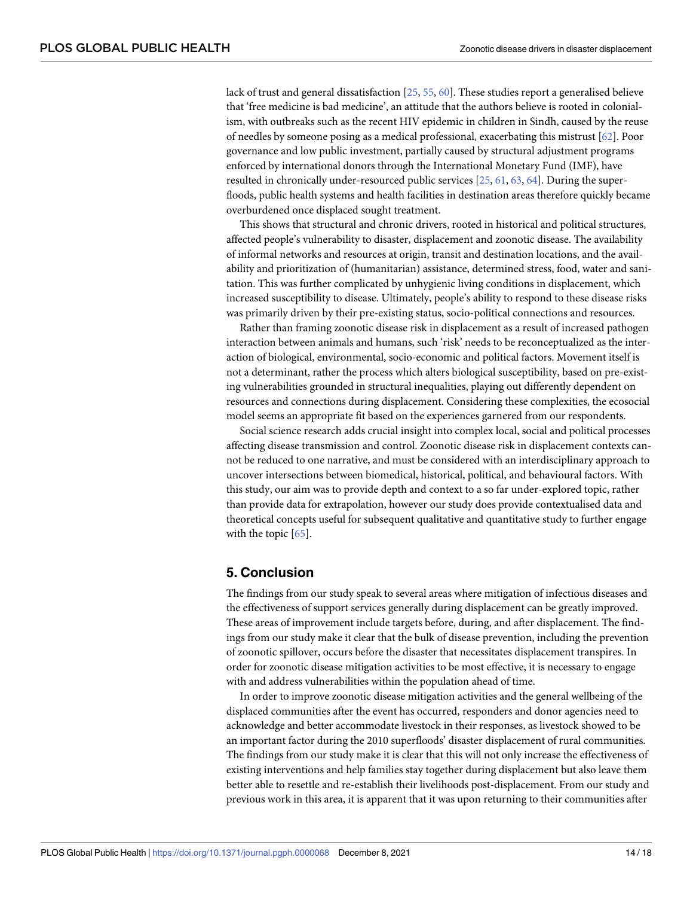<span id="page-13-0"></span>lack of trust and general dissatisfaction [[25](#page-16-0), [55](#page-17-0), [60](#page-17-0)]. These studies report a generalised believe that 'free medicine is bad medicine', an attitude that the authors believe is rooted in colonialism, with outbreaks such as the recent HIV epidemic in children in Sindh, caused by the reuse of needles by someone posing as a medical professional, exacerbating this mistrust [[62](#page-17-0)]. Poor governance and low public investment, partially caused by structural adjustment programs enforced by international donors through the International Monetary Fund (IMF), have resulted in chronically under-resourced public services [[25](#page-16-0), [61](#page-17-0), [63](#page-17-0), [64](#page-17-0)]. During the superfloods, public health systems and health facilities in destination areas therefore quickly became overburdened once displaced sought treatment.

This shows that structural and chronic drivers, rooted in historical and political structures, affected people's vulnerability to disaster, displacement and zoonotic disease. The availability of informal networks and resources at origin, transit and destination locations, and the availability and prioritization of (humanitarian) assistance, determined stress, food, water and sanitation. This was further complicated by unhygienic living conditions in displacement, which increased susceptibility to disease. Ultimately, people's ability to respond to these disease risks was primarily driven by their pre-existing status, socio-political connections and resources.

Rather than framing zoonotic disease risk in displacement as a result of increased pathogen interaction between animals and humans, such 'risk' needs to be reconceptualized as the interaction of biological, environmental, socio-economic and political factors. Movement itself is not a determinant, rather the process which alters biological susceptibility, based on pre-existing vulnerabilities grounded in structural inequalities, playing out differently dependent on resources and connections during displacement. Considering these complexities, the ecosocial model seems an appropriate fit based on the experiences garnered from our respondents.

Social science research adds crucial insight into complex local, social and political processes affecting disease transmission and control. Zoonotic disease risk in displacement contexts cannot be reduced to one narrative, and must be considered with an interdisciplinary approach to uncover intersections between biomedical, historical, political, and behavioural factors. With this study, our aim was to provide depth and context to a so far under-explored topic, rather than provide data for extrapolation, however our study does provide contextualised data and theoretical concepts useful for subsequent qualitative and quantitative study to further engage with the topic [\[65\]](#page-17-0).

## **5. Conclusion**

The findings from our study speak to several areas where mitigation of infectious diseases and the effectiveness of support services generally during displacement can be greatly improved. These areas of improvement include targets before, during, and after displacement. The findings from our study make it clear that the bulk of disease prevention, including the prevention of zoonotic spillover, occurs before the disaster that necessitates displacement transpires. In order for zoonotic disease mitigation activities to be most effective, it is necessary to engage with and address vulnerabilities within the population ahead of time.

In order to improve zoonotic disease mitigation activities and the general wellbeing of the displaced communities after the event has occurred, responders and donor agencies need to acknowledge and better accommodate livestock in their responses, as livestock showed to be an important factor during the 2010 superfloods' disaster displacement of rural communities. The findings from our study make it is clear that this will not only increase the effectiveness of existing interventions and help families stay together during displacement but also leave them better able to resettle and re-establish their livelihoods post-displacement. From our study and previous work in this area, it is apparent that it was upon returning to their communities after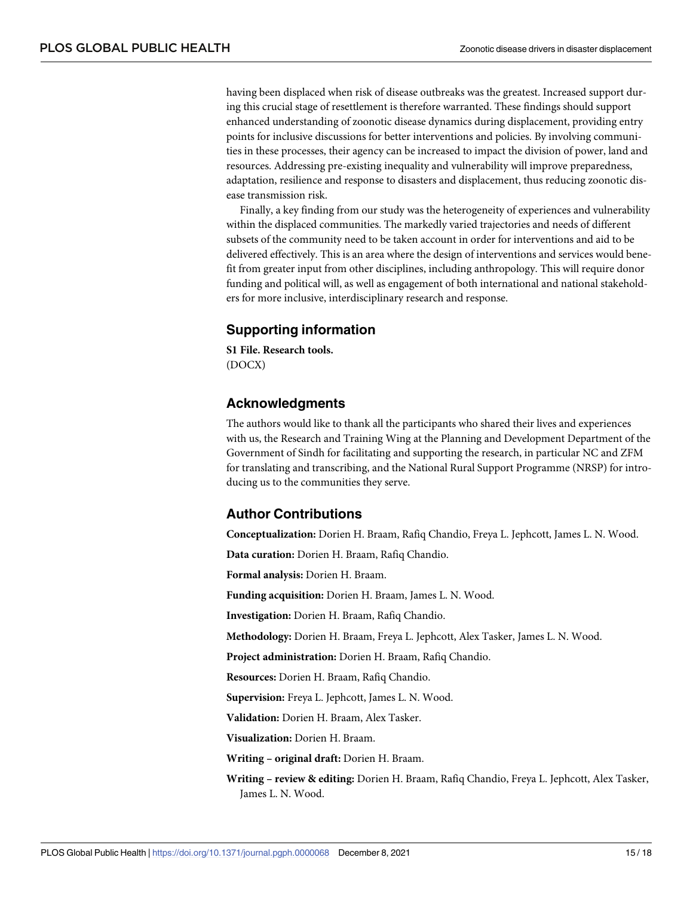<span id="page-14-0"></span>having been displaced when risk of disease outbreaks was the greatest. Increased support during this crucial stage of resettlement is therefore warranted. These findings should support enhanced understanding of zoonotic disease dynamics during displacement, providing entry points for inclusive discussions for better interventions and policies. By involving communities in these processes, their agency can be increased to impact the division of power, land and resources. Addressing pre-existing inequality and vulnerability will improve preparedness, adaptation, resilience and response to disasters and displacement, thus reducing zoonotic disease transmission risk.

Finally, a key finding from our study was the heterogeneity of experiences and vulnerability within the displaced communities. The markedly varied trajectories and needs of different subsets of the community need to be taken account in order for interventions and aid to be delivered effectively. This is an area where the design of interventions and services would benefit from greater input from other disciplines, including anthropology. This will require donor funding and political will, as well as engagement of both international and national stakeholders for more inclusive, interdisciplinary research and response.

# **Supporting information**

**S1 [File.](http://journals.plos.org/globalpublichealth/article/asset?unique&id=info:doi/10.1371/journal.pgph.0000068.s001) Research tools.** (DOCX)

# **Acknowledgments**

The authors would like to thank all the participants who shared their lives and experiences with us, the Research and Training Wing at the Planning and Development Department of the Government of Sindh for facilitating and supporting the research, in particular NC and ZFM for translating and transcribing, and the National Rural Support Programme (NRSP) for introducing us to the communities they serve.

# **Author Contributions**

**Conceptualization:** Dorien H. Braam, Rafiq Chandio, Freya L. Jephcott, James L. N. Wood.

**Data curation:** Dorien H. Braam, Rafiq Chandio.

**Formal analysis:** Dorien H. Braam.

**Funding acquisition:** Dorien H. Braam, James L. N. Wood.

**Investigation:** Dorien H. Braam, Rafiq Chandio.

**Methodology:** Dorien H. Braam, Freya L. Jephcott, Alex Tasker, James L. N. Wood.

**Project administration:** Dorien H. Braam, Rafiq Chandio.

**Resources:** Dorien H. Braam, Rafiq Chandio.

**Supervision:** Freya L. Jephcott, James L. N. Wood.

**Validation:** Dorien H. Braam, Alex Tasker.

**Visualization:** Dorien H. Braam.

**Writing – original draft:** Dorien H. Braam.

**Writing – review & editing:** Dorien H. Braam, Rafiq Chandio, Freya L. Jephcott, Alex Tasker, James L. N. Wood.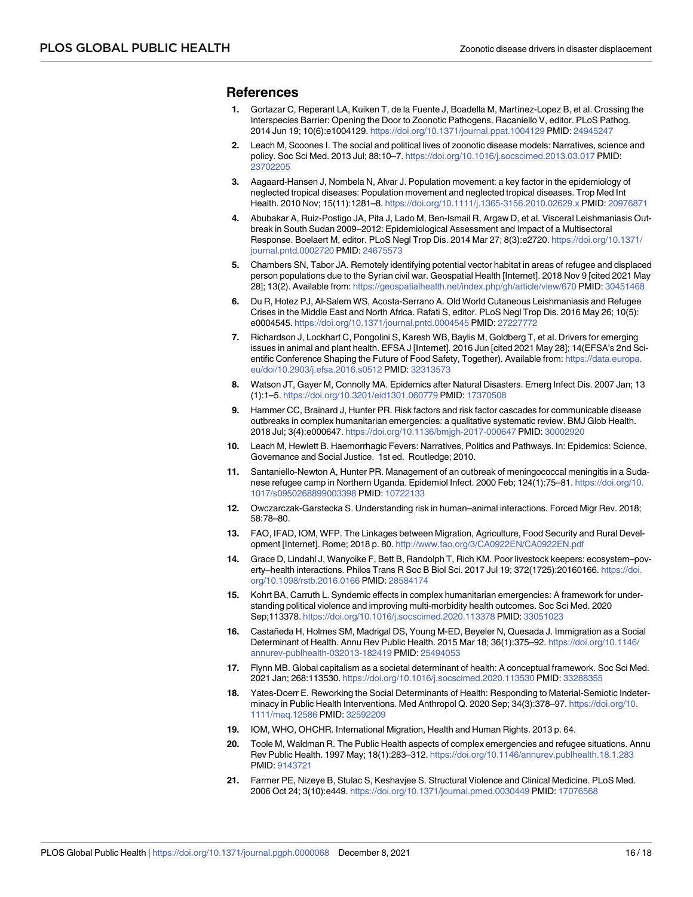#### <span id="page-15-0"></span>**References**

- **[1](#page-1-0).** Gortazar C, Reperant LA, Kuiken T, de la Fuente J, Boadella M, Martínez-Lopez B, et al. Crossing the Interspecies Barrier: Opening the Door to Zoonotic Pathogens. Racaniello V, editor. PLoS Pathog. 2014 Jun 19; 10(6):e1004129. <https://doi.org/10.1371/journal.ppat.1004129> PMID: [24945247](http://www.ncbi.nlm.nih.gov/pubmed/24945247)
- **[2](#page-1-0).** Leach M, Scoones I. The social and political lives of zoonotic disease models: Narratives, science and policy. Soc Sci Med. 2013 Jul; 88:10–7. <https://doi.org/10.1016/j.socscimed.2013.03.017> PMID: [23702205](http://www.ncbi.nlm.nih.gov/pubmed/23702205)
- **[3](#page-1-0).** Aagaard-Hansen J, Nombela N, Alvar J. Population movement: a key factor in the epidemiology of neglected tropical diseases: Population movement and neglected tropical diseases. Trop Med Int Health. 2010 Nov; 15(11):1281–8. <https://doi.org/10.1111/j.1365-3156.2010.02629.x> PMID: [20976871](http://www.ncbi.nlm.nih.gov/pubmed/20976871)
- **4.** Abubakar A, Ruiz-Postigo JA, Pita J, Lado M, Ben-Ismail R, Argaw D, et al. Visceral Leishmaniasis Outbreak in South Sudan 2009–2012: Epidemiological Assessment and Impact of a Multisectoral Response. Boelaert M, editor. PLoS Negl Trop Dis. 2014 Mar 27; 8(3):e2720. [https://doi.org/10.1371/](https://doi.org/10.1371/journal.pntd.0002720) [journal.pntd.0002720](https://doi.org/10.1371/journal.pntd.0002720) PMID: [24675573](http://www.ncbi.nlm.nih.gov/pubmed/24675573)
- **5.** Chambers SN, Tabor JA. Remotely identifying potential vector habitat in areas of refugee and displaced person populations due to the Syrian civil war. Geospatial Health [Internet]. 2018 Nov 9 [cited 2021 May 28]; 13(2). Available from: <https://geospatialhealth.net/index.php/gh/article/view/670> PMID: [30451468](http://www.ncbi.nlm.nih.gov/pubmed/30451468)
- **6.** Du R, Hotez PJ, Al-Salem WS, Acosta-Serrano A. Old World Cutaneous Leishmaniasis and Refugee Crises in the Middle East and North Africa. Rafati S, editor. PLoS Negl Trop Dis. 2016 May 26; 10(5): e0004545. <https://doi.org/10.1371/journal.pntd.0004545> PMID: [27227772](http://www.ncbi.nlm.nih.gov/pubmed/27227772)
- **7.** Richardson J, Lockhart C, Pongolini S, Karesh WB, Baylis M, Goldberg T, et al. Drivers for emerging issues in animal and plant health. EFSA J [Internet]. 2016 Jun [cited 2021 May 28]; 14(EFSA's 2nd Scientific Conference Shaping the Future of Food Safety, Together). Available from: [https://data.europa.](https://data.europa.eu/doi/10.2903/j.efsa.2016.s0512) [eu/doi/10.2903/j.efsa.2016.s0512](https://data.europa.eu/doi/10.2903/j.efsa.2016.s0512) PMID: [32313573](http://www.ncbi.nlm.nih.gov/pubmed/32313573)
- **[8](#page-1-0).** Watson JT, Gayer M, Connolly MA. Epidemics after Natural Disasters. Emerg Infect Dis. 2007 Jan; 13 (1):1–5. <https://doi.org/10.3201/eid1301.060779> PMID: [17370508](http://www.ncbi.nlm.nih.gov/pubmed/17370508)
- **[9](#page-1-0).** Hammer CC, Brainard J, Hunter PR. Risk factors and risk factor cascades for communicable disease outbreaks in complex humanitarian emergencies: a qualitative systematic review. BMJ Glob Health. 2018 Jul; 3(4):e000647. <https://doi.org/10.1136/bmjgh-2017-000647> PMID: [30002920](http://www.ncbi.nlm.nih.gov/pubmed/30002920)
- **10.** Leach M, Hewlett B. Haemorrhagic Fevers: Narratives, Politics and Pathways. In: Epidemics: Science, Governance and Social Justice. 1st ed. Routledge; 2010.
- **[11](#page-1-0).** Santaniello-Newton A, Hunter PR. Management of an outbreak of meningococcal meningitis in a Sudanese refugee camp in Northern Uganda. Epidemiol Infect. 2000 Feb; 124(1):75–81. [https://doi.org/10.](https://doi.org/10.1017/s0950268899003398) [1017/s0950268899003398](https://doi.org/10.1017/s0950268899003398) PMID: [10722133](http://www.ncbi.nlm.nih.gov/pubmed/10722133)
- **[12](#page-1-0).** Owczarczak-Garstecka S. Understanding risk in human–animal interactions. Forced Migr Rev. 2018; 58:78–80.
- **[13](#page-1-0).** FAO, IFAD, IOM, WFP. The Linkages between Migration, Agriculture, Food Security and Rural Development [Internet]. Rome; 2018 p. 80. <http://www.fao.org/3/CA0922EN/CA0922EN.pdf>
- **[14](#page-1-0).** Grace D, Lindahl J, Wanyoike F, Bett B, Randolph T, Rich KM. Poor livestock keepers: ecosystem–poverty–health interactions. Philos Trans R Soc B Biol Sci. 2017 Jul 19; 372(1725):20160166. [https://doi.](https://doi.org/10.1098/rstb.2016.0166) [org/10.1098/rstb.2016.0166](https://doi.org/10.1098/rstb.2016.0166) PMID: [28584174](http://www.ncbi.nlm.nih.gov/pubmed/28584174)
- **[15](#page-1-0).** Kohrt BA, Carruth L. Syndemic effects in complex humanitarian emergencies: A framework for understanding political violence and improving multi-morbidity health outcomes. Soc Sci Med. 2020 Sep;113378. <https://doi.org/10.1016/j.socscimed.2020.113378> PMID: [33051023](http://www.ncbi.nlm.nih.gov/pubmed/33051023)
- **[16](#page-1-0).** Castañeda H, Holmes SM, Madrigal DS, Young M-ED, Beyeler N, Quesada J. Immigration as a Social Determinant of Health. Annu Rev Public Health. 2015 Mar 18; 36(1):375–92. [https://doi.org/10.1146/](https://doi.org/10.1146/annurev-publhealth-032013-182419) [annurev-publhealth-032013-182419](https://doi.org/10.1146/annurev-publhealth-032013-182419) PMID: [25494053](http://www.ncbi.nlm.nih.gov/pubmed/25494053)
- **[17](#page-1-0).** Flynn MB. Global capitalism as a societal determinant of health: A conceptual framework. Soc Sci Med. 2021 Jan; 268:113530. <https://doi.org/10.1016/j.socscimed.2020.113530> PMID: [33288355](http://www.ncbi.nlm.nih.gov/pubmed/33288355)
- **[18](#page-1-0).** Yates-Doerr E. Reworking the Social Determinants of Health: Responding to Material-Semiotic Indeterminacy in Public Health Interventions. Med Anthropol Q. 2020 Sep; 34(3):378–97. [https://doi.org/10.](https://doi.org/10.1111/maq.12586) [1111/maq.12586](https://doi.org/10.1111/maq.12586) PMID: [32592209](http://www.ncbi.nlm.nih.gov/pubmed/32592209)
- **[19](#page-1-0).** IOM, WHO, OHCHR. International Migration, Health and Human Rights. 2013 p. 64.
- **[20](#page-1-0).** Toole M, Waldman R. The Public Health aspects of complex emergencies and refugee situations. Annu Rev Public Health. 1997 May; 18(1):283–312. <https://doi.org/10.1146/annurev.publhealth.18.1.283> PMID: [9143721](http://www.ncbi.nlm.nih.gov/pubmed/9143721)
- **[21](#page-1-0).** Farmer PE, Nizeye B, Stulac S, Keshavjee S. Structural Violence and Clinical Medicine. PLoS Med. 2006 Oct 24; 3(10):e449. <https://doi.org/10.1371/journal.pmed.0030449> PMID: [17076568](http://www.ncbi.nlm.nih.gov/pubmed/17076568)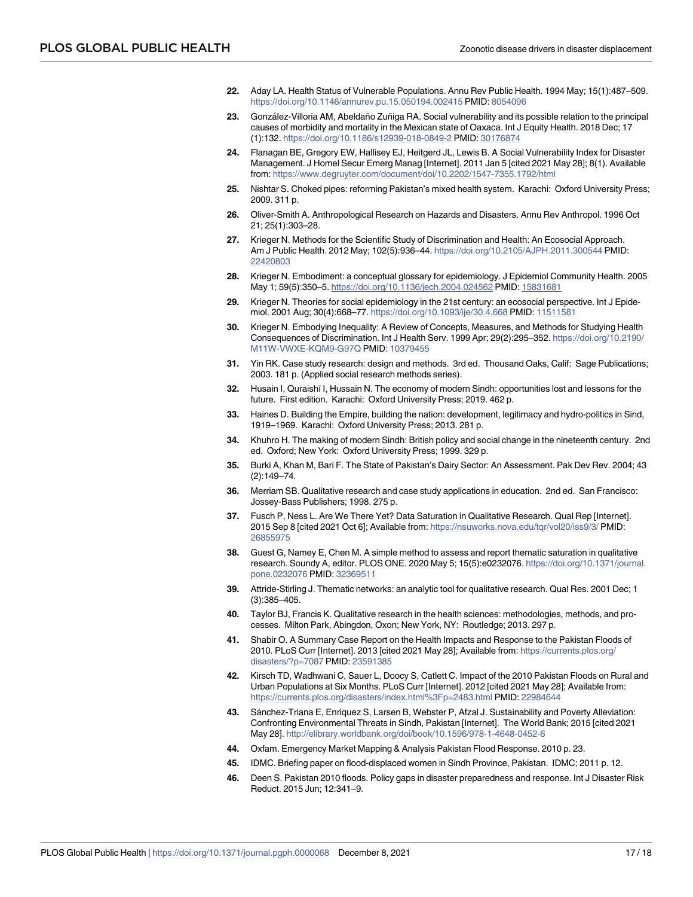- <span id="page-16-0"></span>**[22](#page-1-0).** Aday LA. Health Status of Vulnerable Populations. Annu Rev Public Health. 1994 May; 15(1):487–509. <https://doi.org/10.1146/annurev.pu.15.050194.002415> PMID: [8054096](http://www.ncbi.nlm.nih.gov/pubmed/8054096)
- **[23](#page-1-0).** Gonza´lez-Villoria AM, Abeldaño Zuñiga RA. Social vulnerability and its possible relation to the principal causes of morbidity and mortality in the Mexican state of Oaxaca. Int J Equity Health. 2018 Dec; 17 (1):132. <https://doi.org/10.1186/s12939-018-0849-2> PMID: [30176874](http://www.ncbi.nlm.nih.gov/pubmed/30176874)
- **[24](#page-1-0).** Flanagan BE, Gregory EW, Hallisey EJ, Heitgerd JL, Lewis B. A Social Vulnerability Index for Disaster Management. J Homel Secur Emerg Manag [Internet]. 2011 Jan 5 [cited 2021 May 28]; 8(1). Available from: <https://www.degruyter.com/document/doi/10.2202/1547-7355.1792/html>
- **[25](#page-13-0).** Nishtar S. Choked pipes: reforming Pakistan's mixed health system. Karachi: Oxford University Press; 2009. 311 p.
- **[26](#page-1-0).** Oliver-Smith A. Anthropological Research on Hazards and Disasters. Annu Rev Anthropol. 1996 Oct 21; 25(1):303–28.
- **[27](#page-1-0).** Krieger N. Methods for the Scientific Study of Discrimination and Health: An Ecosocial Approach. Am J Public Health. 2012 May; 102(5):936–44. <https://doi.org/10.2105/AJPH.2011.300544> PMID: [22420803](http://www.ncbi.nlm.nih.gov/pubmed/22420803)
- **28.** Krieger N. Embodiment: a conceptual glossary for epidemiology. J Epidemiol Community Health. 2005 May 1; 59(5):350–5. <https://doi.org/10.1136/jech.2004.024562> PMID: [15831681](http://www.ncbi.nlm.nih.gov/pubmed/15831681)
- **[29](#page-2-0).** Krieger N. Theories for social epidemiology in the 21st century: an ecosocial perspective. Int J Epidemiol. 2001 Aug; 30(4):668–77. <https://doi.org/10.1093/ije/30.4.668> PMID: [11511581](http://www.ncbi.nlm.nih.gov/pubmed/11511581)
- **[30](#page-1-0).** Krieger N. Embodying Inequality: A Review of Concepts, Measures, and Methods for Studying Health Consequences of Discrimination. Int J Health Serv. 1999 Apr; 29(2):295–352. [https://doi.org/10.2190/](https://doi.org/10.2190/M11W-VWXE-KQM9-G97Q) [M11W-VWXE-KQM9-G97Q](https://doi.org/10.2190/M11W-VWXE-KQM9-G97Q) PMID: [10379455](http://www.ncbi.nlm.nih.gov/pubmed/10379455)
- **[31](#page-2-0).** Yin RK. Case study research: design and methods. 3rd ed. Thousand Oaks, Calif: Sage Publications; 2003. 181 p. (Applied social research methods series).
- **[32](#page-2-0).** Husain I, Quraishī I, Hussain N. The economy of modern Sindh: opportunities lost and lessons for the future. First edition. Karachi: Oxford University Press; 2019. 462 p.
- **[33](#page-2-0).** Haines D. Building the Empire, building the nation: development, legitimacy and hydro-politics in Sind, 1919–1969. Karachi: Oxford University Press; 2013. 281 p.
- **[34](#page-2-0).** Khuhro H. The making of modern Sindh: British policy and social change in the nineteenth century. 2nd ed. Oxford; New York: Oxford University Press; 1999. 329 p.
- **[35](#page-2-0).** Burki A, Khan M, Bari F. The State of Pakistan's Dairy Sector: An Assessment. Pak Dev Rev. 2004; 43 (2):149–74.
- **[36](#page-3-0).** Merriam SB. Qualitative research and case study applications in education. 2nd ed. San Francisco: Jossey-Bass Publishers; 1998. 275 p.
- **[37](#page-3-0).** Fusch P, Ness L. Are We There Yet? Data Saturation in Qualitative Research. Qual Rep [Internet]. 2015 Sep 8 [cited 2021 Oct 6]; Available from: <https://nsuworks.nova.edu/tqr/vol20/iss9/3/> PMID: [26855975](http://www.ncbi.nlm.nih.gov/pubmed/26855975)
- **[38](#page-3-0).** Guest G, Namey E, Chen M. A simple method to assess and report thematic saturation in qualitative research. Soundy A, editor. PLOS ONE. 2020 May 5; 15(5):e0232076. [https://doi.org/10.1371/journal.](https://doi.org/10.1371/journal.pone.0232076) [pone.0232076](https://doi.org/10.1371/journal.pone.0232076) PMID: [32369511](http://www.ncbi.nlm.nih.gov/pubmed/32369511)
- **[39](#page-4-0).** Attride-Stirling J. Thematic networks: an analytic tool for qualitative research. Qual Res. 2001 Dec; 1 (3):385–405.
- **[40](#page-4-0).** Taylor BJ, Francis K. Qualitative research in the health sciences: methodologies, methods, and processes. Milton Park, Abingdon, Oxon; New York, NY: Routledge; 2013. 297 p.
- **[41](#page-5-0).** Shabir O. A Summary Case Report on the Health Impacts and Response to the Pakistan Floods of 2010. PLoS Curr [Internet]. 2013 [cited 2021 May 28]; Available from: [https://currents.plos.org/](https://currents.plos.org/disasters/?p=7087) [disasters/?p=7087](https://currents.plos.org/disasters/?p=7087) PMID: [23591385](http://www.ncbi.nlm.nih.gov/pubmed/23591385)
- **[42](#page-5-0).** Kirsch TD, Wadhwani C, Sauer L, Doocy S, Catlett C. Impact of the 2010 Pakistan Floods on Rural and Urban Populations at Six Months. PLoS Curr [Internet]. 2012 [cited 2021 May 28]; Available from: <https://currents.plos.org/disasters/index.html%3Fp=2483.html> PMID: [22984644](http://www.ncbi.nlm.nih.gov/pubmed/22984644)
- **[43](#page-5-0).** Sa´nchez-Triana E, Enriquez S, Larsen B, Webster P, Afzal J. Sustainability and Poverty Alleviation: Confronting Environmental Threats in Sindh, Pakistan [Internet]. The World Bank; 2015 [cited 2021 May 28]. <http://elibrary.worldbank.org/doi/book/10.1596/978-1-4648-0452-6>
- **[44](#page-5-0).** Oxfam. Emergency Market Mapping & Analysis Pakistan Flood Response. 2010 p. 23.
- **[45](#page-5-0).** IDMC. Briefing paper on flood-displaced women in Sindh Province, Pakistan. IDMC; 2011 p. 12.
- **[46](#page-6-0).** Deen S. Pakistan 2010 floods. Policy gaps in disaster preparedness and response. Int J Disaster Risk Reduct. 2015 Jun; 12:341–9.